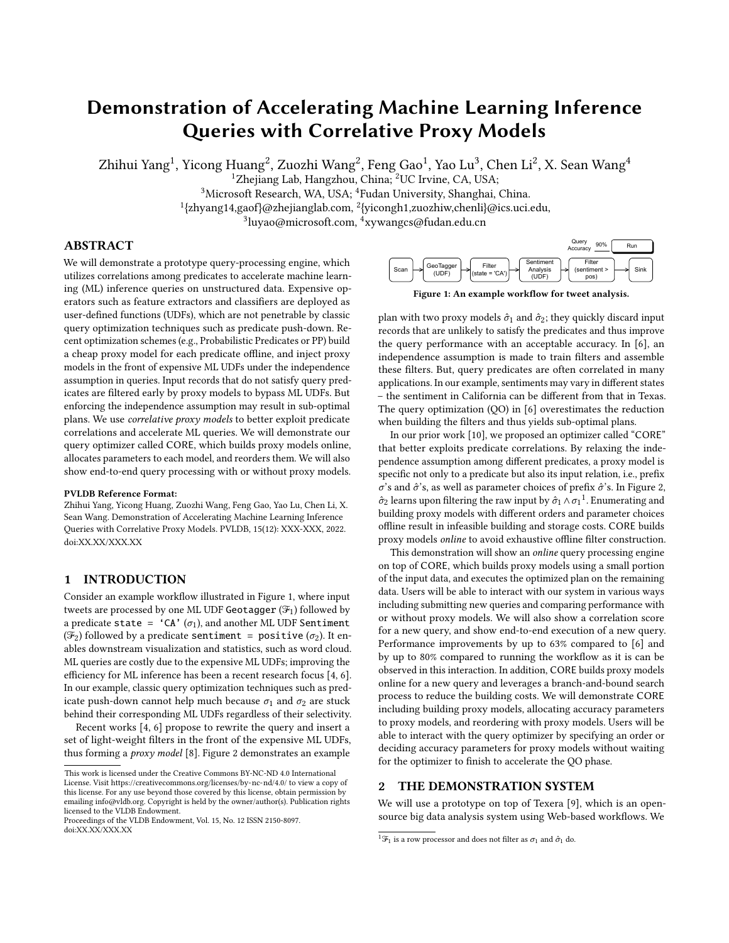# Demonstration of Accelerating Machine Learning Inference Queries with Correlative Proxy Models

Zhihui Yang<sup>1</sup>, Yicong Huang<sup>2</sup>, Zuozhi Wang<sup>2</sup>, Feng Gao<sup>1</sup>, Yao Lu<sup>3</sup>, Chen Li<sup>2</sup>, X. Sean Wang<sup>4</sup>

<sup>1</sup>Zhejiang Lab, Hangzhou, China; <sup>2</sup>UC Irvine, CA, USA;

<sup>3</sup>Microsoft Research, WA, USA; <sup>4</sup>Fudan University, Shanghai, China.

1 {zhyang14,gaof}@zhejianglab.com, <sup>2</sup> {yicongh1,zuozhiw,chenli}@ics.uci.edu,

 $^{3}$ luyao@microsoft.com,  $^{4}$ xywangcs@fudan.edu.cn

## ABSTRACT

We will demonstrate a prototype query-processing engine, which utilizes correlations among predicates to accelerate machine learning (ML) inference queries on unstructured data. Expensive operators such as feature extractors and classifiers are deployed as user-defined functions (UDFs), which are not penetrable by classic query optimization techniques such as predicate push-down. Recent optimization schemes (e.g., Probabilistic Predicates or PP) build a cheap proxy model for each predicate offline, and inject proxy models in the front of expensive ML UDFs under the independence assumption in queries. Input records that do not satisfy query predicates are filtered early by proxy models to bypass ML UDFs. But enforcing the independence assumption may result in sub-optimal plans. We use correlative proxy models to better exploit predicate correlations and accelerate ML queries. We will demonstrate our query optimizer called CORE, which builds proxy models online, allocates parameters to each model, and reorders them. We will also show end-to-end query processing with or without proxy models.

#### PVLDB Reference Format:

Zhihui Yang, Yicong Huang, Zuozhi Wang, Feng Gao, Yao Lu, Chen Li, X. Sean Wang. Demonstration of Accelerating Machine Learning Inference Queries with Correlative Proxy Models. PVLDB, 15(12): XXX-XXX, 2022. [doi:XX.XX/XXX.XX](https://doi.org/XX.XX/XXX.XX)

## 1 INTRODUCTION

Consider an example workflow illustrated in Figure [1,](#page-0-0) where input tweets are processed by one ML UDF Geotagger  $(\mathcal{F}_1)$  followed by a predicate state = 'CA'  $(\sigma_1)$ , and another ML UDF Sentiment ( $\mathcal{F}_2$ ) followed by a predicate sentiment = positive ( $\sigma_2$ ). It enables downstream visualization and statistics, such as word cloud. ML queries are costly due to the expensive ML UDFs; improving the efficiency for ML inference has been a recent research focus [\[4,](#page-3-0) [6\]](#page-3-1). In our example, classic query optimization techniques such as predicate push-down cannot help much because  $\sigma_1$  and  $\sigma_2$  are stuck behind their corresponding ML UDFs regardless of their selectivity.

Recent works [\[4,](#page-3-0) [6\]](#page-3-1) propose to rewrite the query and insert a set of light-weight filters in the front of the expensive ML UDFs, thus forming a proxy model [\[8\]](#page-3-2). Figure [2](#page-1-0) demonstrates an example

<span id="page-0-0"></span>

|                                                                                          | Query<br>90%<br>Accuracy       | Run  |
|------------------------------------------------------------------------------------------|--------------------------------|------|
| Sentiment<br>Filter<br>GeoTagger<br>Scan<br>Analysis<br>(state = 'CA')<br>(UDF)<br>(UDF) | Filter<br>(sentiment ><br>pos) | Sink |

Figure 1: An example workflow for tweet analysis.

plan with two proxy models  $\hat{\sigma}_1$  and  $\hat{\sigma}_2$ ; they quickly discard input records that are unlikely to satisfy the predicates and thus improve the query performance with an acceptable accuracy. In [\[6\]](#page-3-1), an independence assumption is made to train filters and assemble these filters. But, query predicates are often correlated in many applications. In our example, sentiments may vary in different states – the sentiment in California can be different from that in Texas. The query optimization (QO) in [\[6\]](#page-3-1) overestimates the reduction when building the filters and thus yields sub-optimal plans.

In our prior work [\[10\]](#page-3-3), we proposed an optimizer called "CORE" that better exploits predicate correlations. By relaxing the independence assumption among different predicates, a proxy model is specific not only to a predicate but also its input relation, i.e., prefix  $\sigma$ 's and  $\hat{\sigma}$ 's, as well as parameter choices of prefix  $\hat{\sigma}$ 's. In Figure [2,](#page-1-0)  $\hat{\sigma}_2$  learns upon filtering the raw input by  $\hat{\sigma}_1 \wedge \sigma_1^{-1}.$  Enumerating and building proxy models with different orders and parameter choices offline result in infeasible building and storage costs. CORE builds proxy models online to avoid exhaustive offline filter construction.

This demonstration will show an online query processing engine on top of CORE, which builds proxy models using a small portion of the input data, and executes the optimized plan on the remaining data. Users will be able to interact with our system in various ways including submitting new queries and comparing performance with or without proxy models. We will also show a correlation score for a new query, and show end-to-end execution of a new query. Performance improvements by up to 63% compared to [\[6\]](#page-3-1) and by up to 80% compared to running the workflow as it is can be observed in this interaction. In addition, CORE builds proxy models online for a new query and leverages a branch-and-bound search process to reduce the building costs. We will demonstrate CORE including building proxy models, allocating accuracy parameters to proxy models, and reordering with proxy models. Users will be able to interact with the query optimizer by specifying an order or deciding accuracy parameters for proxy models without waiting for the optimizer to finish to accelerate the QO phase.

## 2 THE DEMONSTRATION SYSTEM

We will use a prototype on top of Texera [\[9\]](#page-3-4), which is an opensource big data analysis system using Web-based workflows. We

This work is licensed under the Creative Commons BY-NC-ND 4.0 International License. Visit<https://creativecommons.org/licenses/by-nc-nd/4.0/> to view a copy of this license. For any use beyond those covered by this license, obtain permission by emailing [info@vldb.org.](mailto:info@vldb.org) Copyright is held by the owner/author(s). Publication rights licensed to the VLDB Endowment.

Proceedings of the VLDB Endowment, Vol. 15, No. 12 ISSN 2150-8097. [doi:XX.XX/XXX.XX](https://doi.org/XX.XX/XXX.XX)

 $^1\mathcal{F}_1$  is a row processor and does not filter as  $\sigma_1$  and  $\hat{\sigma}_1$  do.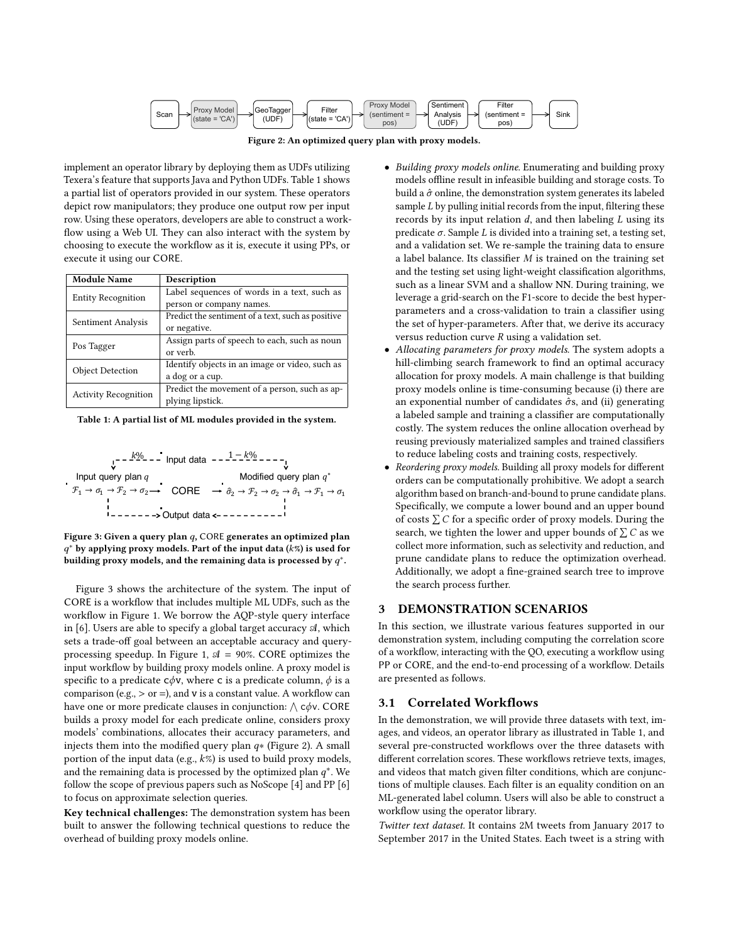

Figure 2: An optimized query plan with proxy models.

<span id="page-1-0"></span>implement an operator library by deploying them as UDFs utilizing Texera's feature that supports Java and Python UDFs. Table [1](#page-1-1) shows a partial list of operators provided in our system. These operators depict row manipulators; they produce one output row per input row. Using these operators, developers are able to construct a workflow using a Web UI. They can also interact with the system by choosing to execute the workflow as it is, execute it using PPs, or execute it using our CORE.

<span id="page-1-1"></span>

| <b>Module Name</b>          | Description                                       |
|-----------------------------|---------------------------------------------------|
| <b>Entity Recognition</b>   | Label sequences of words in a text, such as       |
|                             | person or company names.                          |
| Sentiment Analysis          | Predict the sentiment of a text, such as positive |
|                             | or negative.                                      |
| Pos Tagger                  | Assign parts of speech to each, such as noun      |
|                             | or verb.                                          |
| <b>Object Detection</b>     | Identify objects in an image or video, such as    |
|                             | a dog or a cup.                                   |
| <b>Activity Recognition</b> | Predict the movement of a person, such as ap-     |
|                             | plying lipstick.                                  |

Table 1: A partial list of ML modules provided in the system.

<span id="page-1-2"></span>
$$
\begin{array}{cccc}\n & -\frac{k\%}{2} & -\text{ Input data } & -\frac{1-k\%}{2} & -\text{---} \\
 & & \text{Modified query plan } q & \text{Modified query plan } q^* \\
\hline\n\mathcal{F}_1 \rightarrow \sigma_1 \rightarrow \mathcal{F}_2 \rightarrow \sigma_2 \rightarrow \text{CORE} & \rightarrow \hat{\sigma}_2 \rightarrow \mathcal{F}_2 \rightarrow \sigma_2 \rightarrow \hat{\sigma}_1 \rightarrow \mathcal{F}_1 \rightarrow \sigma_1 \\
 & & \text{Output data } & & \text{---} & \text{---} & \text{---}\n\end{array}
$$

Figure 3: Given a query plan  $q$ , CORE generates an optimized plan  $q^*$  by applying proxy models. Part of the input data ( $k\%$ ) is used for building proxy models, and the remaining data is processed by  $q^*$ .

Figure [3](#page-1-2) shows the architecture of the system. The input of CORE is a workflow that includes multiple ML UDFs, such as the workflow in Figure [1.](#page-0-0) We borrow the AQP-style query interface in [\[6\]](#page-3-1). Users are able to specify a global target accuracy  $A$ , which sets a trade-off goal between an acceptable accuracy and query-processing speedup. In Figure [1,](#page-0-0)  $\mathcal{A} = 90\%$ . CORE optimizes the input workflow by building proxy models online. A proxy model is specific to a predicate  $c\phi v$ , where c is a predicate column,  $\phi$  is a comparison (e.g.,  $>$  or =), and v is a constant value. A workflow can have one or more predicate clauses in conjunction:  $\wedge$  c $\phi$ v. CORE builds a proxy model for each predicate online, considers proxy models' combinations, allocates their accuracy parameters, and injects them into the modified query plan  $q*$  (Figure [2\)](#page-1-0). A small portion of the input data (e.g.,  $k\%$ ) is used to build proxy models, and the remaining data is processed by the optimized plan  $q^*$ . We follow the scope of previous papers such as NoScope [\[4\]](#page-3-0) and PP [\[6\]](#page-3-1) to focus on approximate selection queries.

Key technical challenges: The demonstration system has been built to answer the following technical questions to reduce the overhead of building proxy models online.

- Building proxy models online. Enumerating and building proxy models offline result in infeasible building and storage costs. To build a  $\hat{\sigma}$  online, the demonstration system generates its labeled sample  $L$  by pulling initial records from the input, filtering these records by its input relation  $d$ , and then labeling  $L$  using its predicate  $\sigma$ . Sample L is divided into a training set, a testing set, and a validation set. We re-sample the training data to ensure a label balance. Its classifier  $M$  is trained on the training set and the testing set using light-weight classification algorithms, such as a linear SVM and a shallow NN. During training, we leverage a grid-search on the F1-score to decide the best hyperparameters and a cross-validation to train a classifier using the set of hyper-parameters. After that, we derive its accuracy versus reduction curve  $R$  using a validation set.
- Allocating parameters for proxy models. The system adopts a hill-climbing search framework to find an optimal accuracy allocation for proxy models. A main challenge is that building proxy models online is time-consuming because (i) there are an exponential number of candidates  $\hat{\sigma}$ s, and (ii) generating a labeled sample and training a classifier are computationally costly. The system reduces the online allocation overhead by reusing previously materialized samples and trained classifiers to reduce labeling costs and training costs, respectively.
- Reordering proxy models. Building all proxy models for different orders can be computationally prohibitive. We adopt a search algorithm based on branch-and-bound to prune candidate plans. Specifically, we compute a lower bound and an upper bound of costs  $\sum C$  for a specific order of proxy models. During the search, we tighten the lower and upper bounds of  $\sum C$  as we collect more information, such as selectivity and reduction, and prune candidate plans to reduce the optimization overhead. Additionally, we adopt a fine-grained search tree to improve the search process further.

### DEMONSTRATION SCENARIOS

In this section, we illustrate various features supported in our demonstration system, including computing the correlation score of a workflow, interacting with the QO, executing a workflow using PP or CORE, and the end-to-end processing of a workflow. Details are presented as follows.

#### 3.1 Correlated Workflows

In the demonstration, we will provide three datasets with text, images, and videos, an operator library as illustrated in Table [1,](#page-1-1) and several pre-constructed workflows over the three datasets with different correlation scores. These workflows retrieve texts, images, and videos that match given filter conditions, which are conjunctions of multiple clauses. Each filter is an equality condition on an ML-generated label column. Users will also be able to construct a workflow using the operator library.

Twitter text dataset. It contains 2M tweets from January 2017 to September 2017 in the United States. Each tweet is a string with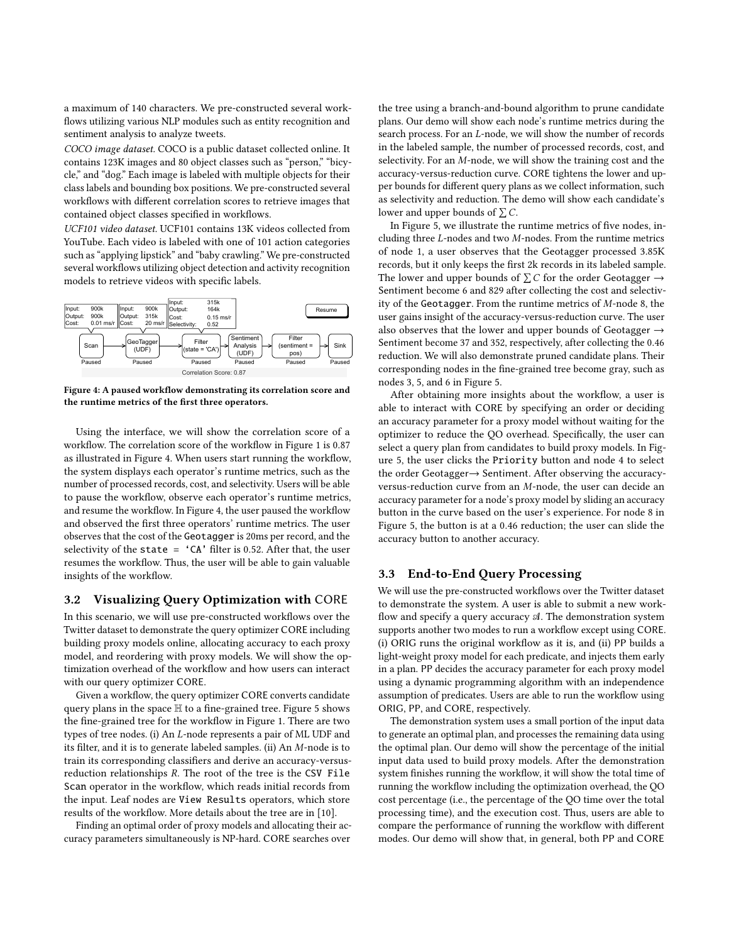a maximum of 140 characters. We pre-constructed several workflows utilizing various NLP modules such as entity recognition and sentiment analysis to analyze tweets.

COCO image dataset. COCO is a public dataset collected online. It contains 123K images and 80 object classes such as "person," "bicycle," and "dog." Each image is labeled with multiple objects for their class labels and bounding box positions. We pre-constructed several workflows with different correlation scores to retrieve images that contained object classes specified in workflows.

UCF101 video dataset. UCF101 contains 13K videos collected from YouTube. Each video is labeled with one of 101 action categories such as "applying lipstick" and "baby crawling." We pre-constructed several workflows utilizing object detection and activity recognition models to retrieve videos with specific labels.

<span id="page-2-0"></span>

Figure 4: A paused workflow demonstrating its correlation score and the runtime metrics of the first three operators.

Using the interface, we will show the correlation score of a workflow. The correlation score of the workflow in Figure [1](#page-0-0) is 0.87 as illustrated in Figure [4.](#page-2-0) When users start running the workflow, the system displays each operator's runtime metrics, such as the number of processed records, cost, and selectivity. Users will be able to pause the workflow, observe each operator's runtime metrics, and resume the workflow. In Figure [4,](#page-2-0) the user paused the workflow and observed the first three operators' runtime metrics. The user observes that the cost of the Geotagger is 20ms per record, and the selectivity of the state  $=$  'CA' filter is 0.52. After that, the user resumes the workflow. Thus, the user will be able to gain valuable insights of the workflow.

#### 3.2 Visualizing Query Optimization with CORE

In this scenario, we will use pre-constructed workflows over the Twitter dataset to demonstrate the query optimizer CORE including building proxy models online, allocating accuracy to each proxy model, and reordering with proxy models. We will show the optimization overhead of the workflow and how users can interact with our query optimizer CORE.

Given a workflow, the query optimizer CORE converts candidate query plans in the space H to a fine-grained tree. Figure [5](#page-3-5) shows the fine-grained tree for the workflow in Figure [1.](#page-0-0) There are two types of tree nodes. (i) An  $L$ -node represents a pair of ML UDF and its filter, and it is to generate labeled samples. (ii) An  $M$ -node is to train its corresponding classifiers and derive an accuracy-versusreduction relationships  $R$ . The root of the tree is the CSV File Scan operator in the workflow, which reads initial records from the input. Leaf nodes are View Results operators, which store results of the workflow. More details about the tree are in [\[10\]](#page-3-3).

Finding an optimal order of proxy models and allocating their accuracy parameters simultaneously is NP-hard. CORE searches over

the tree using a branch-and-bound algorithm to prune candidate plans. Our demo will show each node's runtime metrics during the search process. For an *L*-node, we will show the number of records in the labeled sample, the number of processed records, cost, and selectivity. For an  $M$ -node, we will show the training cost and the accuracy-versus-reduction curve. CORE tightens the lower and upper bounds for different query plans as we collect information, such as selectivity and reduction. The demo will show each candidate's lower and upper bounds of  $\sum C$ .

In Figure [5,](#page-3-5) we illustrate the runtime metrics of five nodes, including three  $L$ -nodes and two  $M$ -nodes. From the runtime metrics of node 1, a user observes that the Geotagger processed 3.85K records, but it only keeps the first 2k records in its labeled sample. The lower and upper bounds of  $\sum C$  for the order Geotagger  $\rightarrow$ Sentiment become 6 and 829 after collecting the cost and selectivity of the Geotagger. From the runtime metrics of  $M$ -node 8, the user gains insight of the accuracy-versus-reduction curve. The user also observes that the lower and upper bounds of Geotagger  $\rightarrow$ Sentiment become 37 and 352, respectively, after collecting the 0.46 reduction. We will also demonstrate pruned candidate plans. Their corresponding nodes in the fine-grained tree become gray, such as nodes 3, 5, and 6 in Figure [5.](#page-3-5)

After obtaining more insights about the workflow, a user is able to interact with CORE by specifying an order or deciding an accuracy parameter for a proxy model without waiting for the optimizer to reduce the QO overhead. Specifically, the user can select a query plan from candidates to build proxy models. In Figure [5,](#page-3-5) the user clicks the Priority button and node 4 to select the order Geotagger→ Sentiment. After observing the accuracyversus-reduction curve from an  $M$ -node, the user can decide an accuracy parameter for a node's proxy model by sliding an accuracy button in the curve based on the user's experience. For node 8 in Figure [5,](#page-3-5) the button is at a 0.46 reduction; the user can slide the accuracy button to another accuracy.

## 3.3 End-to-End Query Processing

We will use the pre-constructed workflows over the Twitter dataset to demonstrate the system. A user is able to submit a new workflow and specify a query accuracy  $A$ . The demonstration system supports another two modes to run a workflow except using CORE. (i) ORIG runs the original workflow as it is, and (ii) PP builds a light-weight proxy model for each predicate, and injects them early in a plan. PP decides the accuracy parameter for each proxy model using a dynamic programming algorithm with an independence assumption of predicates. Users are able to run the workflow using ORIG, PP, and CORE, respectively.

The demonstration system uses a small portion of the input data to generate an optimal plan, and processes the remaining data using the optimal plan. Our demo will show the percentage of the initial input data used to build proxy models. After the demonstration system finishes running the workflow, it will show the total time of running the workflow including the optimization overhead, the QO cost percentage (i.e., the percentage of the QO time over the total processing time), and the execution cost. Thus, users are able to compare the performance of running the workflow with different modes. Our demo will show that, in general, both PP and CORE